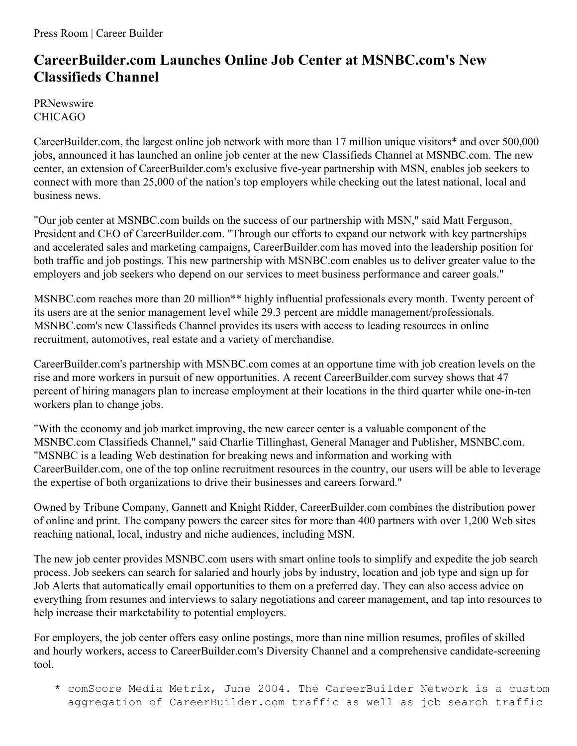## **CareerBuilder.com Launches Online Job Center at MSNBC.com's New Classifieds Channel**

PRNewswire CHICAGO

CareerBuilder.com, the largest online job network with more than 17 million unique visitors\* and over 500,000 jobs, announced it has launched an online job center at the new Classifieds Channel at MSNBC.com. The new center, an extension of CareerBuilder.com's exclusive five-year partnership with MSN, enables job seekers to connect with more than 25,000 of the nation's top employers while checking out the latest national, local and business news.

"Our job center at MSNBC.com builds on the success of our partnership with MSN," said Matt Ferguson, President and CEO of CareerBuilder.com. "Through our efforts to expand our network with key partnerships and accelerated sales and marketing campaigns, CareerBuilder.com has moved into the leadership position for both traffic and job postings. This new partnership with MSNBC.com enables us to deliver greater value to the employers and job seekers who depend on our services to meet business performance and career goals."

MSNBC.com reaches more than 20 million\*\* highly influential professionals every month. Twenty percent of its users are at the senior management level while 29.3 percent are middle management/professionals. MSNBC.com's new Classifieds Channel provides its users with access to leading resources in online recruitment, automotives, real estate and a variety of merchandise.

CareerBuilder.com's partnership with MSNBC.com comes at an opportune time with job creation levels on the rise and more workers in pursuit of new opportunities. A recent CareerBuilder.com survey shows that 47 percent of hiring managers plan to increase employment at their locations in the third quarter while one-in-ten workers plan to change jobs.

"With the economy and job market improving, the new career center is a valuable component of the MSNBC.com Classifieds Channel," said Charlie Tillinghast, General Manager and Publisher, MSNBC.com. "MSNBC is a leading Web destination for breaking news and information and working with CareerBuilder.com, one of the top online recruitment resources in the country, our users will be able to leverage the expertise of both organizations to drive their businesses and careers forward."

Owned by Tribune Company, Gannett and Knight Ridder, CareerBuilder.com combines the distribution power of online and print. The company powers the career sites for more than 400 partners with over 1,200 Web sites reaching national, local, industry and niche audiences, including MSN.

The new job center provides MSNBC.com users with smart online tools to simplify and expedite the job search process. Job seekers can search for salaried and hourly jobs by industry, location and job type and sign up for Job Alerts that automatically email opportunities to them on a preferred day. They can also access advice on everything from resumes and interviews to salary negotiations and career management, and tap into resources to help increase their marketability to potential employers.

For employers, the job center offers easy online postings, more than nine million resumes, profiles of skilled and hourly workers, access to CareerBuilder.com's Diversity Channel and a comprehensive candidate-screening tool.

\* comScore Media Metrix, June 2004. The CareerBuilder Network is a custom aggregation of CareerBuilder.com traffic as well as job search traffic